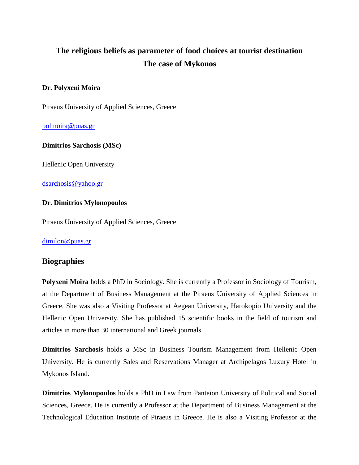# **The religious beliefs as parameter of food choices at tourist destination The case of Mykonos**

## **Dr. Polyxeni Moira**

Piraeus University of Applied Sciences, Greece

[polmoira@puas.gr](mailto:polmoira@puas.gr)

## **Dimitrios Sarchosis (MSc)**

Hellenic Open University

[dsarchosis@yahoo.gr](mailto:dsarchosis@yahoo.gr)

#### **Dr. Dimitrios Mylonopoulos**

Piraeus University of Applied Sciences, Greece

[dimilon@puas.gr](mailto:dimilon@puas.gr)

# **Biographies**

**Polyxeni Moira** holds a PhD in Sociology. She is currently a Professor in Sociology of Tourism, at the Department of Business Management at the Piraeus University of Applied Sciences in Greece. She was also a Visiting Professor at Aegean University, Harokopio University and the Hellenic Open University. She has published 15 scientific books in the field of tourism and articles in more than 30 international and Greek journals.

**Dimitrios Sarchosis** holds a MSc in Business Tourism Management from Hellenic Open University. He is currently Sales and Reservations Manager at Archipelagos Luxury Hotel in Mykonos Island.

**Dimitrios Mylonopoulos** holds a PhD in Law from Panteion University of Political and Social Sciences, Greece. He is currently a Professor at the Department of Business Management at the Technological Education Institute of Piraeus in Greece. He is also a Visiting Professor at the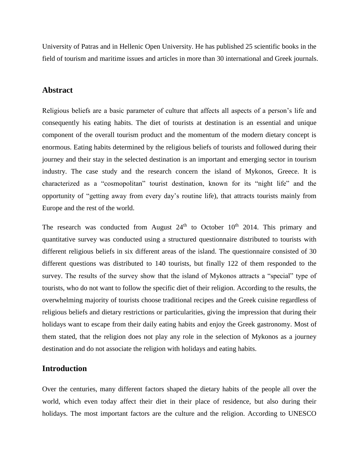University of Patras and in Hellenic Open University. He has published 25 scientific books in the field of tourism and maritime issues and articles in more than 30 international and Greek journals.

## **Abstract**

Religious beliefs are a basic parameter of culture that affects all aspects of a person's life and consequently his eating habits. The diet of tourists at destination is an essential and unique component of the overall tourism product and the momentum of the modern dietary concept is enormous. Eating habits determined by the religious beliefs of tourists and followed during their journey and their stay in the selected destination is an important and emerging sector in tourism industry. The case study and the research concern the island of Mykonos, Greece. It is characterized as a "cosmopolitan" tourist destination, known for its "night life" and the opportunity of "getting away from every day's routine life), that attracts tourists mainly from Europe and the rest of the world.

The research was conducted from August  $24<sup>th</sup>$  to October 10<sup>th</sup> 2014. This primary and quantitative survey was conducted using a structured questionnaire distributed to tourists with different religious beliefs in six different areas of the island. The questionnaire consisted of 30 different questions was distributed to 140 tourists, but finally 122 of them responded to the survey. The results of the survey show that the island of Mykonos attracts a "special" type of tourists, who do not want to follow the specific diet of their religion. According to the results, the overwhelming majority of tourists choose traditional recipes and the Greek cuisine regardless of religious beliefs and dietary restrictions or particularities, giving the impression that during their holidays want to escape from their daily eating habits and enjoy the Greek gastronomy. Most of them stated, that the religion does not play any role in the selection of Mykonos as a journey destination and do not associate the religion with holidays and eating habits.

# **Introduction**

Over the centuries, many different factors shaped the dietary habits of the people all over the world, which even today affect their diet in their place of residence, but also during their holidays. The most important factors are the culture and the religion. According to UNESCO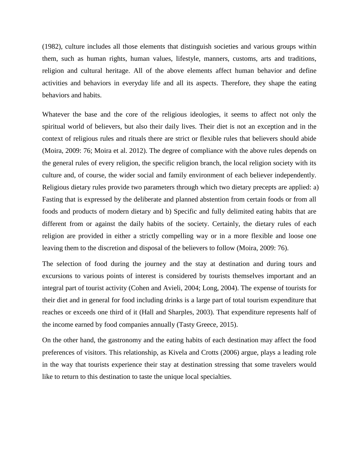(1982), culture includes all those elements that distinguish societies and various groups within them, such as human rights, human values, lifestyle, manners, customs, arts and traditions, religion and cultural heritage. All of the above elements affect human behavior and define activities and behaviors in everyday life and all its aspects. Therefore, they shape the eating behaviors and habits.

Whatever the base and the core of the religious ideologies, it seems to affect not only the spiritual world of believers, but also their daily lives. Their diet is not an exception and in the context of religious rules and rituals there are strict or flexible rules that believers should abide (Moira, 2009: 76; Moira et al. 2012). The degree of compliance with the above rules depends on the general rules of every religion, the specific religion branch, the local religion society with its culture and, of course, the wider social and family environment of each believer independently. Religious dietary rules provide two parameters through which two dietary precepts are applied: a) Fasting that is expressed by the deliberate and planned abstention from certain foods or from all foods and products of modern dietary and b) Specific and fully delimited eating habits that are different from or against the daily habits of the society. Certainly, the dietary rules of each religion are provided in either a strictly compelling way or in a more flexible and loose one leaving them to the discretion and disposal of the believers to follow (Moira, 2009: 76).

The selection of food during the journey and the stay at destination and during tours and excursions to various points of interest is considered by tourists themselves important and an integral part of tourist activity (Cohen and Avieli, 2004; Long, 2004). The expense of tourists for their diet and in general for food including drinks is a large part of total tourism expenditure that reaches or exceeds one third of it (Hall and Sharples, 2003). That expenditure represents half of the income earned by food companies annually (Tasty Greece, 2015).

On the other hand, the gastronomy and the eating habits of each destination may affect the food preferences of visitors. This relationship, as Kivela and Crotts (2006) argue, plays a leading role in the way that tourists experience their stay at destination stressing that some travelers would like to return to this destination to taste the unique local specialties.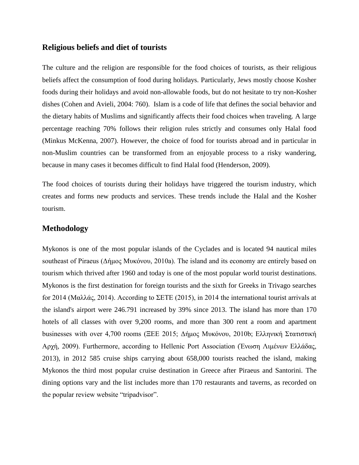## **Religious beliefs and diet of tourists**

The culture and the religion are responsible for the food choices of tourists, as their religious beliefs affect the consumption of food during holidays. Particularly, Jews mostly choose Kosher foods during their holidays and avoid non-allowable foods, but do not hesitate to try non-Kosher dishes (Cohen and Avieli, 2004: 760). Islam is a code of life that defines the social behavior and the dietary habits of Muslims and significantly affects their food choices when traveling. A large percentage reaching 70% follows their religion rules strictly and consumes only Halal food (Minkus McKenna, 2007). However, the choice of food for tourists abroad and in particular in non-Muslim countries can be transformed from an enjoyable process to a risky wandering, because in many cases it becomes difficult to find Halal food (Henderson, 2009).

The food choices of tourists during their holidays have triggered the tourism industry, which creates and forms new products and services. These trends include the Halal and the Kosher tourism.

## **Methodology**

Mykonos is one of the most popular islands of the Cyclades and is located 94 nautical miles southeast of Piraeus (Δήμος Μυκόνου, 2010a). The island and its economy are entirely based on tourism which thrived after 1960 and today is one of the most popular world tourist destinations. Mykonos is the first destination for foreign tourists and the sixth for Greeks in Trivago searches for 2014 (Μαλλάς, 2014). According to ΣΕΤΕ (2015), in 2014 the international tourist arrivals at the island's airport were 246.791 increased by 39% since 2013. The island has more than 170 hotels of all classes with over 9,200 rooms, and more than 300 rent a room and apartment businesses with over 4,700 rooms (ΞΕΕ 2015; Δήμος Μυκόνου, 2010b; Ελληνική Στατιστική Αρχή, 2009). Furthermore, according to Hellenic Port Association (Ένωση Λιμένων Ελλάδας, 2013), in 2012 585 cruise ships carrying about 658,000 tourists reached the island, making Mykonos the third most popular cruise destination in Greece after Piraeus and Santorini. The dining options vary and the list includes more than 170 restaurants and taverns, as recorded on the popular review website "tripadvisor".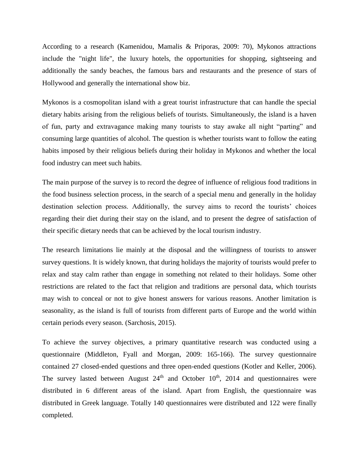According to a research (Kamenidou, Mamalis & Priporas, 2009: 70), Mykonos attractions include the "night life", the luxury hotels, the opportunities for shopping, sightseeing and additionally the sandy beaches, the famous bars and restaurants and the presence of stars of Hollywood and generally the international show biz.

Mykonos is a cosmopolitan island with a great tourist infrastructure that can handle the special dietary habits arising from the religious beliefs of tourists. Simultaneously, the island is a haven of fun, party and extravagance making many tourists to stay awake all night "parting" and consuming large quantities of alcohol. The question is whether tourists want to follow the eating habits imposed by their religious beliefs during their holiday in Mykonos and whether the local food industry can meet such habits.

The main purpose of the survey is to record the degree of influence of religious food traditions in the food business selection process, in the search of a special menu and generally in the holiday destination selection process. Additionally, the survey aims to record the tourists' choices regarding their diet during their stay on the island, and to present the degree of satisfaction of their specific dietary needs that can be achieved by the local tourism industry.

The research limitations lie mainly at the disposal and the willingness of tourists to answer survey questions. It is widely known, that during holidays the majority of tourists would prefer to relax and stay calm rather than engage in something not related to their holidays. Some other restrictions are related to the fact that religion and traditions are personal data, which tourists may wish to conceal or not to give honest answers for various reasons. Another limitation is seasonality, as the island is full of tourists from different parts of Europe and the world within certain periods every season. (Sarchosis, 2015).

To achieve the survey objectives, a primary quantitative research was conducted using a questionnaire (Middleton, Fyall and Morgan, 2009: 165-166). The survey questionnaire contained 27 closed-ended questions and three open-ended questions (Kotler and Keller, 2006). The survey lasted between August  $24<sup>th</sup>$  and October 10<sup>th</sup>, 2014 and questionnaires were distributed in 6 different areas of the island. Apart from English, the questionnaire was distributed in Greek language. Totally 140 questionnaires were distributed and 122 were finally completed.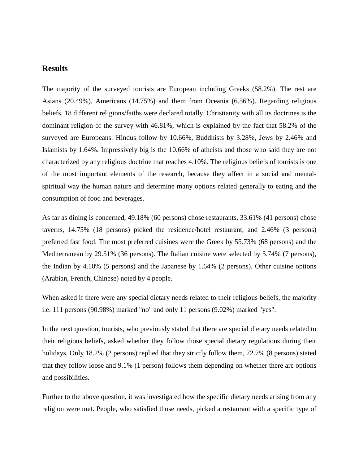# **Results**

The majority of the surveyed tourists are European including Greeks (58.2%). The rest are Asians (20.49%), Americans (14.75%) and them from Oceania (6.56%). Regarding religious beliefs, 18 different religions/faiths were declared totally. Christianity with all its doctrines is the dominant religion of the survey with 46.81%, which is explained by the fact that 58.2% of the surveyed are Europeans. Hindus follow by 10.66%, Buddhists by 3.28%, Jews by 2.46% and Islamists by 1.64%. Impressively big is the 10.66% of atheists and those who said they are not characterized by any religious doctrine that reaches 4.10%. The religious beliefs of tourists is one of the most important elements of the research, because they affect in a social and mentalspiritual way the human nature and determine many options related generally to eating and the consumption of food and beverages.

As far as dining is concerned, 49.18% (60 persons) chose restaurants, 33.61% (41 persons) chose taverns, 14.75% (18 persons) picked the residence/hotel restaurant, and 2.46% (3 persons) preferred fast food. The most preferred cuisines were the Greek by 55.73% (68 persons) and the Mediterranean by 29.51% (36 persons). The Italian cuisine were selected by 5.74% (7 persons), the Indian by 4.10% (5 persons) and the Japanese by 1.64% (2 persons). Other cuisine options (Arabian, French, Chinese) noted by 4 people.

When asked if there were any special dietary needs related to their religious beliefs, the majority i.e. 111 persons (90.98%) marked "no" and only 11 persons (9.02%) marked "yes".

In the next question, tourists, who previously stated that there are special dietary needs related to their religious beliefs, asked whether they follow those special dietary regulations during their holidays. Only 18.2% (2 persons) replied that they strictly follow them, 72.7% (8 persons) stated that they follow loose and 9.1% (1 person) follows them depending on whether there are options and possibilities.

Further to the above question, it was investigated how the specific dietary needs arising from any religion were met. People, who satisfied those needs, picked a restaurant with a specific type of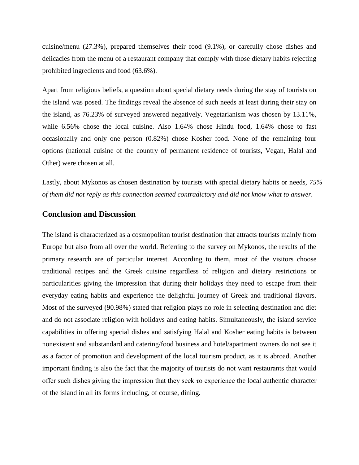cuisine/menu (27.3%), prepared themselves their food (9.1%), or carefully chose dishes and delicacies from the menu of a restaurant company that comply with those dietary habits rejecting prohibited ingredients and food (63.6%).

Apart from religious beliefs, a question about special dietary needs during the stay of tourists on the island was posed. The findings reveal the absence of such needs at least during their stay on the island, as 76.23% of surveyed answered negatively. Vegetarianism was chosen by 13.11%, while 6.56% chose the local cuisine. Also 1.64% chose Hindu food, 1.64% chose to fast occasionally and only one person (0.82%) chose Kosher food. None of the remaining four options (national cuisine of the country of permanent residence of tourists, Vegan, Halal and Other) were chosen at all.

Lastly, about Mykonos as chosen destination by tourists with special dietary habits or needs, *75% of them did not reply as this connection seemed contradictory and did not know what to answer.*

# **Conclusion and Discussion**

The island is characterized as a cosmopolitan tourist destination that attracts tourists mainly from Europe but also from all over the world. Referring to the survey on Mykonos, the results of the primary research are of particular interest. According to them, most of the visitors choose traditional recipes and the Greek cuisine regardless of religion and dietary restrictions or particularities giving the impression that during their holidays they need to escape from their everyday eating habits and experience the delightful journey of Greek and traditional flavors. Most of the surveyed (90.98%) stated that religion plays no role in selecting destination and diet and do not associate religion with holidays and eating habits. Simultaneously, the island service capabilities in offering special dishes and satisfying Halal and Kosher eating habits is between nonexistent and substandard and catering/food business and hotel/apartment owners do not see it as a factor of promotion and development of the local tourism product, as it is abroad. Another important finding is also the fact that the majority of tourists do not want restaurants that would offer such dishes giving the impression that they seek το experience the local authentic character of the island in all its forms including, of course, dining.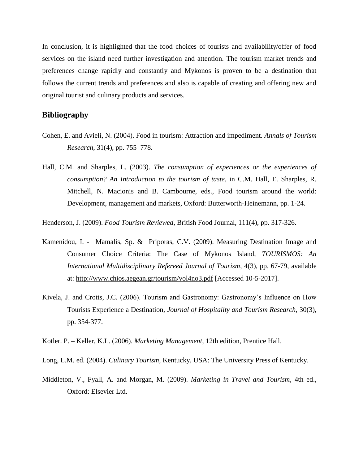In conclusion, it is highlighted that the food choices of tourists and availability/offer of food services on the island need further investigation and attention. The tourism market trends and preferences change rapidly and constantly and Mykonos is proven to be a destination that follows the current trends and preferences and also is capable of creating and offering new and original tourist and culinary products and services.

## **Bibliography**

- Cohen, E. and Avieli, N. (2004). Food in tourism: Attraction and impediment. *Annals of Tourism Research*, 31(4), pp. 755–778.
- Hall, C.M. and Sharples, L. (2003). *The consumption of experiences or the experiences of consumption? An Introduction to the tourism of taste*, in C.M. Hall, E. Sharples, R. Mitchell, N. Macionis and B. Cambourne, eds., Food tourism around the world: Development, management and markets, Oxford: Butterworth-Heinemann, pp. 1-24.

Henderson, J. (2009). *Food Tourism Reviewed*, British Food Journal, 111(4), pp. 317-326.

- Kamenidou, I. Mamalis, Sp. & Priporas, C.V. (2009). Measuring Destination Image and Consumer Choice Criteria: The Case of Mykonos Island, *TOURISMOS: An International Multidisciplinary Refereed Journal of Tourism*, 4(3), pp. 67-79, available at:<http://www.chios.aegean.gr/tourism/vol4no3.pdf> [Accessed 10-5-2017].
- Kivela, J. and Crotts, J.C. (2006). Tourism and Gastronomy: Gastronomy's Influence on How Tourists Experience a Destination, *Journal of Hospitality and Tourism Research*, 30(3), pp. 354-377.
- Kotler. P. Keller, K.L. (2006). *Marketing Management*, 12th edition, Prentice Hall.

Long, L.M. ed. (2004). *Culinary Tourism*, Kentucky, USA: The University Press of Kentucky.

Middleton, V., Fyall, A. and Morgan, M. (2009). *Marketing in Travel and Tourism*, 4th ed., Oxford: Elsevier Ltd.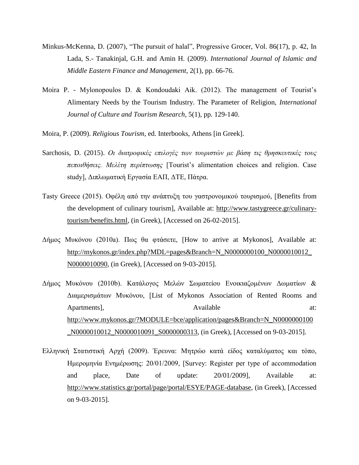- Minkus-McKenna, D. (2007), "The pursuit of halal", Progressive Grocer, Vol. 86(17), p. 42, In Lada, S.- Tanakinjal, G.H. and Amin H. (2009). *International Journal of Islamic and Middle Eastern Finance and Management*, 2(1), pp. 66-76.
- Moira P. Mylonopoulos D. & Kondoudaki Aik. (2012). The management of Tourist's Alimentary Needs by the Tourism Industry. The Parameter of Religion, *International Journal of Culture and Tourism Research*, 5(1), pp. 129-140.
- Moira, P. (2009). *Religious Tourism*, ed. Interbooks, Athens [in Greek].
- Sarchosis, D. (2015). *Οι διατροφικές επιλογές των τουριστών με βάση τις θρησκευτικές τους πεποιθήσεις. Μελέτη περίπτωσης* [Tourist's alimentation choices and religion. Case study], Διπλωματική Εργασία ΕΑΠ, ΔΤΕ, Πάτρα.
- Tasty Greece (2015). Οφέλη από την ανάπτυξη του γαστρονομικού τουρισμού, [Benefits from the development of culinary tourism], Available at: [http://www.tastygreece.gr/culinary](http://www.tastygreece.gr/culinary-tourism/benefits.html)[tourism/benefits.html,](http://www.tastygreece.gr/culinary-tourism/benefits.html) (in Greek), [Accessed on 26-02-2015].
- Δήμος Μυκόνου (2010a). Πως θα φτάσετε, [How to arrive at Mykonos], Available at: [http://mykonos.gr/index.php?MDL=pages&Branch=N\\_N0000000100\\_N0000010012\\_](http://mykonos.gr/index.php?MDL=pages&Branch=N_N0000000100_N0000010012_N0000010090) [N0000010090,](http://mykonos.gr/index.php?MDL=pages&Branch=N_N0000000100_N0000010012_N0000010090) (in Greek), [Accessed on 9-03-2015].
- Δήμος Μυκόνου (2010b). Κατάλογος Μελών Σωματείου Ενοικιαζομένων Δωματίων & Διαμερισμάτων Μυκόνου, [List of Mykonos Association of Rented Rooms and Apartments], Available at: [http://www.mykonos.gr/?MODULE=bce/application/pages&Branch=N\\_N0000000100](http://www.mykonos.gr/?MODULE=bce/application/pages&Branch=N_N0000000100_N0000010012_N0000010091_S0000000313) [\\_N0000010012\\_N0000010091\\_S0000000313,](http://www.mykonos.gr/?MODULE=bce/application/pages&Branch=N_N0000000100_N0000010012_N0000010091_S0000000313) (in Greek), [Accessed on 9-03-2015].
- Ελληνική Στατιστική Αρχή (2009). Έρευνα: Μητρώο κατά είδος καταλύματος και τόπο, Ημερομηνία Ενημέρωσης: 20/01/2009, [Survey: Register per type of accommodation and place, Date of update: 20/01/2009], Available at: [http://www.statistics.gr/portal/page/portal/ESYE/PAGE-database,](http://www.statistics.gr/portal/page/portal/ESYE/PAGE-database) (in Greek), [Accessed on 9-03-2015].